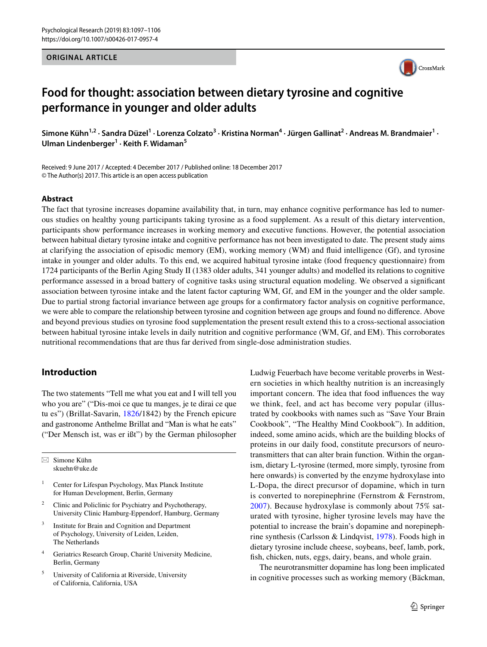#### **ORIGINAL ARTICLE**



# **Food for thought: association between dietary tyrosine and cognitive performance in younger and older adults**

Simone Kühn<sup>1,2</sup> · Sandra Düzel<sup>1</sup> · Lorenza Colzato<sup>3</sup> · Kristina Norman<sup>4</sup> · Jürgen Gallinat<sup>2</sup> · Andreas M. Brandmaier<sup>1</sup> · **Ulman Lindenberger<sup>1</sup> · Keith F. Widaman5**

Received: 9 June 2017 / Accepted: 4 December 2017 / Published online: 18 December 2017 © The Author(s) 2017. This article is an open access publication

### **Abstract**

The fact that tyrosine increases dopamine availability that, in turn, may enhance cognitive performance has led to numerous studies on healthy young participants taking tyrosine as a food supplement. As a result of this dietary intervention, participants show performance increases in working memory and executive functions. However, the potential association between habitual dietary tyrosine intake and cognitive performance has not been investigated to date. The present study aims at clarifying the association of episodic memory (EM), working memory (WM) and fluid intelligence (Gf), and tyrosine intake in younger and older adults. To this end, we acquired habitual tyrosine intake (food frequency questionnaire) from 1724 participants of the Berlin Aging Study II (1383 older adults, 341 younger adults) and modelled its relations to cognitive performance assessed in a broad battery of cognitive tasks using structural equation modeling. We observed a significant association between tyrosine intake and the latent factor capturing WM, Gf, and EM in the younger and the older sample. Due to partial strong factorial invariance between age groups for a confirmatory factor analysis on cognitive performance, we were able to compare the relationship between tyrosine and cognition between age groups and found no difference. Above and beyond previous studies on tyrosine food supplementation the present result extend this to a cross-sectional association between habitual tyrosine intake levels in daily nutrition and cognitive performance (WM, Gf, and EM). This corroborates nutritional recommendations that are thus far derived from single-dose administration studies.

# **Introduction**

The two statements "Tell me what you eat and I will tell you who you are" ("Dis-moi ce que tu manges, je te dirai ce que tu es") (Brillat-Savarin, [1826/](#page-7-0)1842) by the French epicure and gastronome Anthelme Brillat and "Man is what he eats" ("Der Mensch ist, was er ißt") by the German philosopher

 $\boxtimes$  Simone Kühn skuehn@uke.de

- <sup>1</sup> Center for Lifespan Psychology, Max Planck Institute for Human Development, Berlin, Germany
- <sup>2</sup> Clinic and Policlinic for Psychiatry and Psychotherapy, University Clinic Hamburg-Eppendorf, Hamburg, Germany
- <sup>3</sup> Institute for Brain and Cognition and Department of Psychology, University of Leiden, Leiden, The Netherlands
- <sup>4</sup> Geriatrics Research Group, Charité University Medicine, Berlin, Germany
- <sup>5</sup> University of California at Riverside, University of California, California, USA

Ludwig Feuerbach have become veritable proverbs in Western societies in which healthy nutrition is an increasingly important concern. The idea that food influences the way we think, feel, and act has become very popular (illustrated by cookbooks with names such as "Save Your Brain Cookbook", "The Healthy Mind Cookbook"). In addition, indeed, some amino acids, which are the building blocks of proteins in our daily food, constitute precursors of neurotransmitters that can alter brain function. Within the organism, dietary L-tyrosine (termed, more simply, tyrosine from here onwards) is converted by the enzyme hydroxylase into L-Dopa, the direct precursor of dopamine, which in turn is converted to norepinephrine (Fernstrom & Fernstrom, [2007\)](#page-8-0). Because hydroxylase is commonly about 75% saturated with tyrosine, higher tyrosine levels may have the potential to increase the brain's dopamine and norepinephrine synthesis (Carlsson & Lindqvist, [1978](#page-8-1)). Foods high in dietary tyrosine include cheese, soybeans, beef, lamb, pork, fish, chicken, nuts, eggs, dairy, beans, and whole grain.

The neurotransmitter dopamine has long been implicated in cognitive processes such as working memory (Bäckman,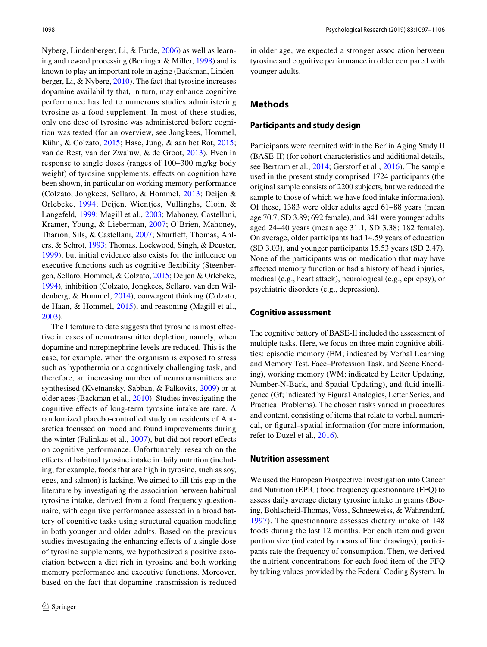Nyberg, Lindenberger, Li, & Farde, [2006\)](#page-7-1) as well as learning and reward processing (Beninger & Miller, [1998\)](#page-7-2) and is known to play an important role in aging (Bäckman, Lindenberger, Li, & Nyberg, [2010\)](#page-7-3). The fact that tyrosine increases dopamine availability that, in turn, may enhance cognitive performance has led to numerous studies administering tyrosine as a food supplement. In most of these studies, only one dose of tyrosine was administered before cognition was tested (for an overview, see Jongkees, Hommel, Kühn, & Colzato, [2015](#page-8-2); Hase, Jung, & aan het Rot, [2015](#page-8-3); van de Rest, van der Zwaluw, & de Groot, [2013\)](#page-8-4). Even in response to single doses (ranges of 100–300 mg/kg body weight) of tyrosine supplements, effects on cognition have been shown, in particular on working memory performance (Colzato, Jongkees, Sellaro, & Hommel, [2013;](#page-8-5) Deijen & Orlebeke, [1994](#page-8-6); Deijen, Wientjes, Vullinghs, Cloin, & Langefeld, [1999](#page-8-7); Magill et al., [2003;](#page-8-8) Mahoney, Castellani, Kramer, Young, & Lieberman, [2007;](#page-8-9) O'Brien, Mahoney, Tharion, Sils, & Castellani, [2007](#page-8-10); Shurtleff, Thomas, Ahlers, & Schrot, [1993](#page-8-11); Thomas, Lockwood, Singh, & Deuster, [1999\)](#page-8-12), but initial evidence also exists for the influence on executive functions such as cognitive flexibility (Steenbergen, Sellaro, Hommel, & Colzato, [2015](#page-8-13); Deijen & Orlebeke, [1994](#page-8-6)), inhibition (Colzato, Jongkees, Sellaro, van den Wildenberg, & Hommel, [2014\)](#page-8-14), convergent thinking (Colzato, de Haan, & Hommel, [2015](#page-8-15)), and reasoning (Magill et al., [2003](#page-8-8)).

The literature to date suggests that tyrosine is most effective in cases of neurotransmitter depletion, namely, when dopamine and norepinephrine levels are reduced. This is the case, for example, when the organism is exposed to stress such as hypothermia or a cognitively challenging task, and therefore, an increasing number of neurotransmitters are synthesised (Kvetnansky, Sabban, & Palkovits, [2009\)](#page-8-16) or at older ages (Bäckman et al., [2010](#page-7-3)). Studies investigating the cognitive effects of long-term tyrosine intake are rare. A randomized placebo-controlled study on residents of Antarctica focussed on mood and found improvements during the winter (Palinkas et al., [2007](#page-8-17)), but did not report effects on cognitive performance. Unfortunately, research on the effects of habitual tyrosine intake in daily nutrition (including, for example, foods that are high in tyrosine, such as soy, eggs, and salmon) is lacking. We aimed to fill this gap in the literature by investigating the association between habitual tyrosine intake, derived from a food frequency questionnaire, with cognitive performance assessed in a broad battery of cognitive tasks using structural equation modeling in both younger and older adults. Based on the previous studies investigating the enhancing effects of a single dose of tyrosine supplements, we hypothesized a positive association between a diet rich in tyrosine and both working memory performance and executive functions. Moreover, based on the fact that dopamine transmission is reduced in older age, we expected a stronger association between tyrosine and cognitive performance in older compared with younger adults.

# **Methods**

#### **Participants and study design**

Participants were recruited within the Berlin Aging Study II (BASE-II) (for cohort characteristics and additional details, see Bertram et al., [2014](#page-7-4); Gerstorf et al., [2016\)](#page-8-18). The sample used in the present study comprised 1724 participants (the original sample consists of 2200 subjects, but we reduced the sample to those of which we have food intake information). Of these, 1383 were older adults aged 61–88 years (mean age 70.7, SD 3.89; 692 female), and 341 were younger adults aged 24–40 years (mean age 31.1, SD 3.38; 182 female). On average, older participants had 14.59 years of education (SD 3.03), and younger participants 15.53 years (SD 2.47). None of the participants was on medication that may have affected memory function or had a history of head injuries, medical (e.g., heart attack), neurological (e.g., epilepsy), or psychiatric disorders (e.g., depression).

#### **Cognitive assessment**

The cognitive battery of BASE-II included the assessment of multiple tasks. Here, we focus on three main cognitive abilities: episodic memory (EM; indicated by Verbal Learning and Memory Test, Face–Profession Task, and Scene Encoding), working memory (WM; indicated by Letter Updating, Number-N-Back, and Spatial Updating), and fluid intelligence (Gf; indicated by Figural Analogies, Letter Series, and Practical Problems). The chosen tasks varied in procedures and content, consisting of items that relate to verbal, numerical, or figural–spatial information (for more information, refer to Duzel et al., [2016\)](#page-8-19).

#### **Nutrition assessment**

We used the European Prospective Investigation into Cancer and Nutrition (EPIC) food frequency questionnaire (FFQ) to assess daily average dietary tyrosine intake in grams (Boeing, Bohlscheid-Thomas, Voss, Schneeweiss, & Wahrendorf, [1997](#page-7-5)). The questionnaire assesses dietary intake of 148 foods during the last 12 months. For each item and given portion size (indicated by means of line drawings), participants rate the frequency of consumption. Then, we derived the nutrient concentrations for each food item of the FFQ by taking values provided by the Federal Coding System. In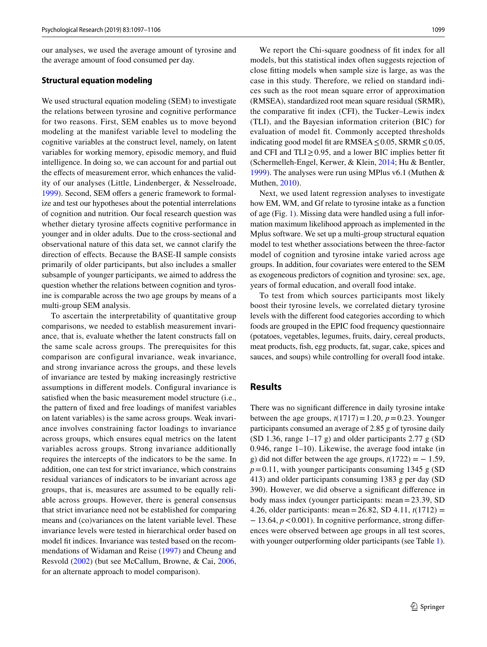our analyses, we used the average amount of tyrosine and the average amount of food consumed per day.

#### **Structural equation modeling**

We used structural equation modeling (SEM) to investigate the relations between tyrosine and cognitive performance for two reasons. First, SEM enables us to move beyond modeling at the manifest variable level to modeling the cognitive variables at the construct level, namely, on latent variables for working memory, episodic memory, and fluid intelligence. In doing so, we can account for and partial out the effects of measurement error, which enhances the validity of our analyses (Little, Lindenberger, & Nesselroade, [1999](#page-8-20)). Second, SEM offers a generic framework to formalize and test our hypotheses about the potential interrelations of cognition and nutrition. Our focal research question was whether dietary tyrosine affects cognitive performance in younger and in older adults. Due to the cross-sectional and observational nature of this data set, we cannot clarify the direction of effects. Because the BASE-II sample consists primarily of older participants, but also includes a smaller subsample of younger participants, we aimed to address the question whether the relations between cognition and tyrosine is comparable across the two age groups by means of a multi-group SEM analysis.

To ascertain the interpretability of quantitative group comparisons, we needed to establish measurement invariance, that is, evaluate whether the latent constructs fall on the same scale across groups. The prerequisites for this comparison are configural invariance, weak invariance, and strong invariance across the groups, and these levels of invariance are tested by making increasingly restrictive assumptions in different models. Configural invariance is satisfied when the basic measurement model structure (i.e., the pattern of fixed and free loadings of manifest variables on latent variables) is the same across groups. Weak invariance involves constraining factor loadings to invariance across groups, which ensures equal metrics on the latent variables across groups. Strong invariance additionally requires the intercepts of the indicators to be the same. In addition, one can test for strict invariance, which constrains residual variances of indicators to be invariant across age groups, that is, measures are assumed to be equally reliable across groups. However, there is general consensus that strict invariance need not be established for comparing means and (co)variances on the latent variable level. These invariance levels were tested in hierarchical order based on model fit indices. Invariance was tested based on the recommendations of Widaman and Reise ([1997\)](#page-9-0) and Cheung and Resvold ([2002](#page-8-21)) (but see McCallum, Browne, & Cai, [2006,](#page-8-22) for an alternate approach to model comparison).

We report the Chi-square goodness of fit index for all models, but this statistical index often suggests rejection of close fitting models when sample size is large, as was the case in this study. Therefore, we relied on standard indices such as the root mean square error of approximation (RMSEA), standardized root mean square residual (SRMR), the comparative fit index (CFI), the Tucker–Lewis index (TLI), and the Bayesian information criterion (BIC) for evaluation of model fit. Commonly accepted thresholds indicating good model fit are RMSEA  $\leq$  0.05, SRMR  $\leq$  0.05, and CFI and TLI $\geq$  0.95, and a lower BIC implies better fit (Schermelleh-Engel, Kerwer, & Klein, [2014;](#page-8-23) Hu & Bentler, [1999](#page-8-24)). The analyses were run using MPlus v6.1 (Muthen & Muthen, [2010\)](#page-8-25).

Next, we used latent regression analyses to investigate how EM, WM, and Gf relate to tyrosine intake as a function of age (Fig. [1\)](#page-3-0). Missing data were handled using a full information maximum likelihood approach as implemented in the Mplus software. We set up a multi-group structural equation model to test whether associations between the three-factor model of cognition and tyrosine intake varied across age groups. In addition, four covariates were entered to the SEM as exogeneous predictors of cognition and tyrosine: sex, age, years of formal education, and overall food intake.

To test from which sources participants most likely boost their tyrosine levels, we correlated dietary tyrosine levels with the different food categories according to which foods are grouped in the EPIC food frequency questionnaire (potatoes, vegetables, legumes, fruits, dairy, cereal products, meat products, fish, egg products, fat, sugar, cake, spices and sauces, and soups) while controlling for overall food intake.

## **Results**

There was no significant difference in daily tyrosine intake between the age groups,  $t(1717)=1.20$ ,  $p=0.23$ . Younger participants consumed an average of 2.85 g of tyrosine daily (SD 1.36, range 1–17 g) and older participants 2.77 g (SD 0.946, range 1–10). Likewise, the average food intake (in g) did not differ between the age groups,  $t(1722) = -1.59$ ,  $p=0.11$ , with younger participants consuming 1345 g (SD) 413) and older participants consuming 1383 g per day (SD 390). However, we did observe a significant difference in body mass index (younger participants: mean=23.39, SD 4.26, older participants: mean=26.82, SD 4.11, *t*(1712) = − 13.64, *p*<0.001). In cognitive performance, strong differences were observed between age groups in all test scores, with younger outperforming older participants (see Table [1](#page-3-1)).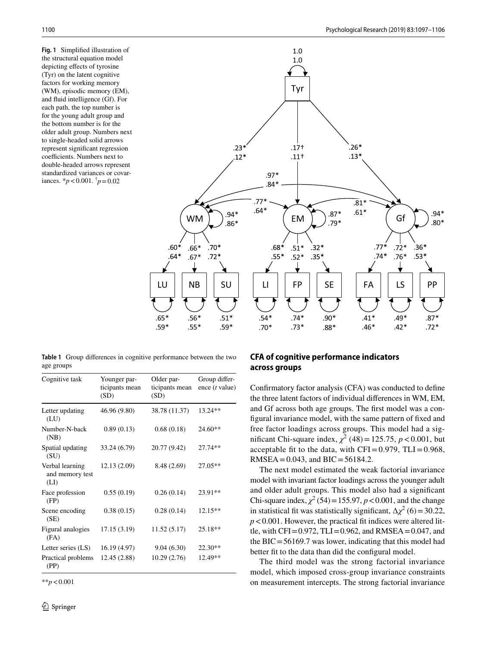<span id="page-3-0"></span>**Fig. 1** Simplified illustration of the structural equation model depicting effects of tyrosine (Tyr) on the latent cognitive factors for working memory (WM), episodic memory (EM), and fluid intelligence (Gf). For each path, the top number is for the young adult group and the bottom number is for the older adult group. Numbers next to single-headed solid arrows represent significant regression coefficients. Numbers next to double-headed arrows represent standardized variances or covariances.  $* p < 0.001$ .  $\dot{p} = 0.02$ 



<span id="page-3-1"></span>**Table 1** Group differences in cognitive performance between the two age groups

| Cognitive task                             | Younger par-<br>ticipants mean<br>(SD) | Older par-<br>ticipants mean<br>(SD) | Group differ-<br>ence $(t$ value) |
|--------------------------------------------|----------------------------------------|--------------------------------------|-----------------------------------|
| Letter updating<br>(LU)                    | 46.96 (9.80)                           | 38.78 (11.37)                        | 13.24**                           |
| Number-N-back<br>(NB)                      | 0.89(0.13)                             | 0.68(0.18)                           | 24.60**                           |
| Spatial updating<br>(SU)                   | 33.24 (6.79)                           | 20.77 (9.42)                         | 27.74**                           |
| Verbal learning<br>and memory test<br>(LI) | 12.13 (2.09)                           | 8.48 (2.69)                          | 27.05**                           |
| Face profession<br>(FP)                    | 0.55(0.19)                             | 0.26(0.14)                           | 23.91**                           |
| Scene encoding<br>(SE)                     | 0.38(0.15)                             | 0.28(0.14)                           | 12.15**                           |
| Figural analogies<br>(FA)                  | 17.15(3.19)                            | 11.52 (5.17)                         | 25.18**                           |
| Letter series (LS)                         | 16.19 (4.97)                           | 9.04(6.30)                           | 22.30**                           |
| Practical problems<br>(PP)                 | 12.45 (2.88)                           | 10.29(2.76)                          | 12.49**                           |

\*\**p*<0.001

# **CFA of cognitive performance indicators across groups**

Confirmatory factor analysis (CFA) was conducted to define the three latent factors of individual differences in WM, EM, and Gf across both age groups. The first model was a configural invariance model, with the same pattern of fixed and free factor loadings across groups. This model had a significant Chi-square index,  $\chi^2$  (48) = 125.75, *p* < 0.001, but acceptable fit to the data, with  $CFI = 0.979$ ,  $TLI = 0.968$ , RMSEA =  $0.043$ , and BIC =  $56184.2$ .

The next model estimated the weak factorial invariance model with invariant factor loadings across the younger adult and older adult groups. This model also had a significant Chi-square index,  $\chi^2$  (54) = 155.97, *p* < 0.001, and the change in statistical fit was statistically significant,  $\Delta \chi^2$  (6) = 30.22, *p*<0.001. However, the practical fit indices were altered little, with CFI=0.972, TLI=0.962, and RMSEA=0.047, and the  $BIC = 56169.7$  was lower, indicating that this model had better fit to the data than did the configural model.

The third model was the strong factorial invariance model, which imposed cross-group invariance constraints on measurement intercepts. The strong factorial invariance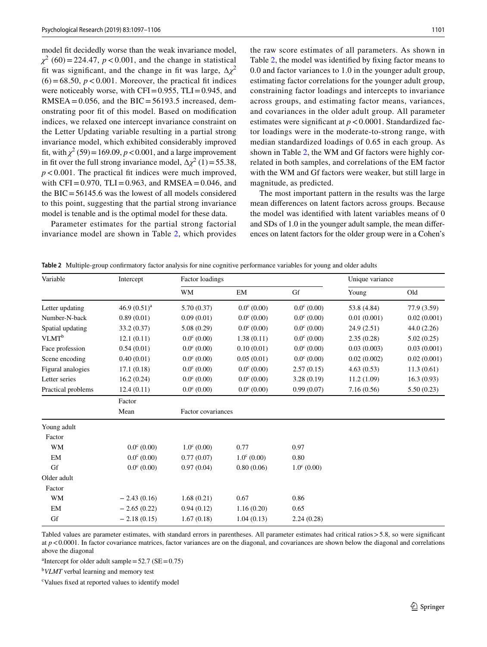model fit decidedly worse than the weak invariance model,  $\chi^2$  (60) = 224.47, *p* < 0.001, and the change in statistical fit was significant, and the change in fit was large,  $\Delta \chi^2$  $(6)$  = 68.50,  $p$  < 0.001. Moreover, the practical fit indices were noticeably worse, with  $CFI = 0.955$ ,  $TLI = 0.945$ , and RMSEA =  $0.056$ , and the BIC =  $56193.5$  increased, demonstrating poor fit of this model. Based on modification indices, we relaxed one intercept invariance constraint on the Letter Updating variable resulting in a partial strong invariance model, which exhibited considerably improved fit, with  $\chi^2$  (59) = 169.09,  $p < 0.001$ , and a large improvement in fit over the full strong invariance model,  $\Delta \chi^2$  (1)=55.38, *p*<0.001. The practical fit indices were much improved, with  $CFI = 0.970$ ,  $TLI = 0.963$ , and  $RMSEA = 0.046$ , and the  $BIC = 56145.6$  was the lowest of all models considered to this point, suggesting that the partial strong invariance model is tenable and is the optimal model for these data.

Parameter estimates for the partial strong factorial invariance model are shown in Table [2](#page-4-0), which provides the raw score estimates of all parameters. As shown in Table [2,](#page-4-0) the model was identified by fixing factor means to 0.0 and factor variances to 1.0 in the younger adult group, estimating factor correlations for the younger adult group, constraining factor loadings and intercepts to invariance across groups, and estimating factor means, variances, and covariances in the older adult group. All parameter estimates were significant at  $p < 0.0001$ . Standardized factor loadings were in the moderate-to-strong range, with median standardized loadings of 0.65 in each group. As shown in Table [2,](#page-4-0) the WM and Gf factors were highly correlated in both samples, and correlations of the EM factor with the WM and Gf factors were weaker, but still large in magnitude, as predicted.

The most important pattern in the results was the large mean differences on latent factors across groups. Because the model was identified with latent variables means of 0 and SDs of 1.0 in the younger adult sample, the mean differences on latent factors for the older group were in a Cohen's

| Variable           | Intercept            | Factor loadings      |                      |                      | Unique variance |             |
|--------------------|----------------------|----------------------|----------------------|----------------------|-----------------|-------------|
|                    |                      | WM                   | EM                   | Gf                   | Young           | Old         |
| Letter updating    | 46.9 $(0.51)^a$      | 5.70(0.37)           | $0.0^{\circ}$ (0.00) | $0.0^{\circ}$ (0.00) | 53.8 (4.84)     | 77.9 (3.59) |
| Number-N-back      | 0.89(0.01)           | 0.09(0.01)           | $0.0^{\circ}$ (0.00) | $0.0^{\circ}$ (0.00) | 0.01(0.001)     | 0.02(0.001) |
| Spatial updating   | 33.2(0.37)           | 5.08(0.29)           | $0.0^{\circ}$ (0.00) | $0.0^{\circ}$ (0.00) | 24.9(2.51)      | 44.0(2.26)  |
| $VLMT^b$           | 12.1(0.11)           | $0.0^{\circ}$ (0.00) | 1.38(0.11)           | $0.0^{\circ}$ (0.00) | 2.35(0.28)      | 5.02(0.25)  |
| Face profession    | 0.54(0.01)           | $0.0^{\circ}$ (0.00) | 0.10(0.01)           | $0.0^{\circ}$ (0.00) | 0.03(0.003)     | 0.03(0.001) |
| Scene encoding     | 0.40(0.01)           | $0.0^{\circ}$ (0.00) | 0.05(0.01)           | $0.0^{\circ}$ (0.00) | 0.02(0.002)     | 0.02(0.001) |
| Figural analogies  | 17.1(0.18)           | $0.0^{\circ}$ (0.00) | $0.0^{\circ}$ (0.00) | 2.57(0.15)           | 4.63(0.53)      | 11.3(0.61)  |
| Letter series      | 16.2(0.24)           | $0.0^{\circ}$ (0.00) | $0.0^{\circ}$ (0.00) | 3.28(0.19)           | 11.2(1.09)      | 16.3(0.93)  |
| Practical problems | 12.4(0.11)           | $0.0^{\circ}$ (0.00) | $0.0^{\circ}$ (0.00) | 0.99(0.07)           | 7.16(0.56)      | 5.50(0.23)  |
|                    | Factor               |                      |                      |                      |                 |             |
|                    | Mean                 | Factor covariances   |                      |                      |                 |             |
| Young adult        |                      |                      |                      |                      |                 |             |
| Factor             |                      |                      |                      |                      |                 |             |
| WM                 | $0.0^{\circ}$ (0.00) | $1.0^{\circ}$ (0.00) | 0.77                 | 0.97                 |                 |             |
| EM                 | $0.0^{\circ}$ (0.00) | 0.77(0.07)           | $1.0^{\circ}$ (0.00) | 0.80                 |                 |             |
| Gf                 | $0.0^{\circ}$ (0.00) | 0.97(0.04)           | 0.80(0.06)           | $1.0^{\circ}$ (0.00) |                 |             |
| Older adult        |                      |                      |                      |                      |                 |             |
| Factor             |                      |                      |                      |                      |                 |             |

<span id="page-4-0"></span>**Table 2** Multiple-group confirmatory factor analysis for nine cognitive performance variables for young and older adults

Tabled values are parameter estimates, with standard errors in parentheses. All parameter estimates had critical ratios>5.8, so were significant at  $p < 0.0001$ . In factor covariance matrices, factor variances are on the diagonal, and covariances are shown below the diagonal and correlations above the diagonal

WM  $-2.43(0.16)$   $1.68(0.21)$   $0.67$  0.86 EM  $-2.65(0.22)$   $0.94(0.12)$   $1.16(0.20)$   $0.65$ Gf  $-2.18(0.15)$   $1.67(0.18)$   $1.04(0.13)$   $2.24(0.28)$ 

<sup>a</sup>Intercept for older adult sample =  $52.7$  (SE =  $0.75$ )

b *VLMT* verbal learning and memory test

c Values fixed at reported values to identify model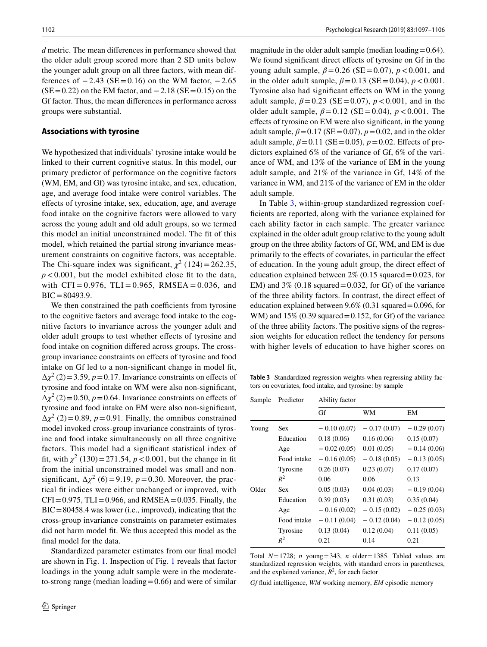*d* metric. The mean differences in performance showed that the older adult group scored more than 2 SD units below the younger adult group on all three factors, with mean differences of  $-2.43$  (SE=0.16) on the WM factor,  $-2.65$  $(SE=0.22)$  on the EM factor, and  $-2.18$  (SE=0.15) on the Gf factor. Thus, the mean differences in performance across groups were substantial.

#### **Associations with tyrosine**

We hypothesized that individuals' tyrosine intake would be linked to their current cognitive status. In this model, our primary predictor of performance on the cognitive factors (WM, EM, and Gf) was tyrosine intake, and sex, education, age, and average food intake were control variables. The effects of tyrosine intake, sex, education, age, and average food intake on the cognitive factors were allowed to vary across the young adult and old adult groups, so we termed this model an initial unconstrained model. The fit of this model, which retained the partial strong invariance measurement constraints on cognitive factors, was acceptable. The Chi-square index was significant,  $\chi^2$  (124) = 262.35, *p* < 0.001, but the model exhibited close fit to the data, with  $CFI = 0.976$ ,  $TLI = 0.965$ ,  $RMSEA = 0.036$ , and BIC=80493.9.

We then constrained the path coefficients from tyrosine to the cognitive factors and average food intake to the cognitive factors to invariance across the younger adult and older adult groups to test whether effects of tyrosine and food intake on cognition differed across groups. The crossgroup invariance constraints on effects of tyrosine and food intake on Gf led to a non-significant change in model fit,  $\Delta \chi^2$  (2) = 3.59, *p* = 0.17. Invariance constraints on effects of tyrosine and food intake on WM were also non-significant,  $\Delta \chi^2$  (2) = 0.50, *p* = 0.64. Invariance constraints on effects of tyrosine and food intake on EM were also non-significant,  $\Delta \chi^2$  (2) = 0.89, *p* = 0.91. Finally, the omnibus constrained model invoked cross-group invariance constraints of tyrosine and food intake simultaneously on all three cognitive factors. This model had a significant statistical index of fit, with  $\chi^2$  (130) = 271.54, *p* < 0.001, but the change in fit from the initial unconstrained model was small and nonsignificant,  $\Delta \chi^2$  (6) = 9.19, *p* = 0.30. Moreover, the practical fit indices were either unchanged or improved, with  $CFI = 0.975$ ,  $TLI = 0.966$ , and  $RMSEA = 0.035$ . Finally, the  $BIC = 80458.4$  was lower (i.e., improved), indicating that the cross-group invariance constraints on parameter estimates did not harm model fit. We thus accepted this model as the final model for the data.

Standardized parameter estimates from our final model are shown in Fig. [1](#page-3-0). Inspection of Fig. [1](#page-3-0) reveals that factor loadings in the young adult sample were in the moderateto-strong range (median loading  $=0.66$ ) and were of similar magnitude in the older adult sample (median loading  $=0.64$ ). We found significant direct effects of tyrosine on Gf in the young adult sample,  $β = 0.26$  (SE = 0.07),  $p < 0.001$ , and in the older adult sample,  $\beta = 0.13$  (SE = 0.04),  $p < 0.001$ . Tyrosine also had significant effects on WM in the young adult sample,  $\beta = 0.23$  (SE = 0.07),  $p < 0.001$ , and in the older adult sample,  $\beta = 0.12$  (SE = 0.04),  $p < 0.001$ . The effects of tyrosine on EM were also significant, in the young adult sample,  $\beta = 0.17$  (SE = 0.07),  $p = 0.02$ , and in the older adult sample,  $\beta$ =0.11 (SE=0.05),  $p$ =0.02. Effects of predictors explained 6% of the variance of Gf, 6% of the variance of WM, and 13% of the variance of EM in the young adult sample, and 21% of the variance in Gf, 14% of the variance in WM, and 21% of the variance of EM in the older adult sample.

In Table [3](#page-5-0), within-group standardized regression coefficients are reported, along with the variance explained for each ability factor in each sample. The greater variance explained in the older adult group relative to the young adult group on the three ability factors of Gf, WM, and EM is due primarily to the effects of covariates, in particular the effect of education. In the young adult group, the direct effect of education explained between  $2\%$  (0.15 squared = 0.023, for EM) and  $3\%$  (0.18 squared = 0.032, for Gf) of the variance of the three ability factors. In contrast, the direct effect of education explained between  $9.6\%$  (0.31 squared = 0.096, for WM) and  $15\%$  (0.39 squared = 0.152, for Gf) of the variance of the three ability factors. The positive signs of the regression weights for education reflect the tendency for persons with higher levels of education to have higher scores on

<span id="page-5-0"></span>**Table 3** Standardized regression weights when regressing ability factors on covariates, food intake, and tyrosine: by sample

| Sample | Predictor   | Ability factor |               |               |  |
|--------|-------------|----------------|---------------|---------------|--|
|        |             | Gf             | WМ            | EМ            |  |
| Young  | Sex.        | $-0.10(0.07)$  | $-0.17(0.07)$ | $-0.29(0.07)$ |  |
|        | Education   | 0.18(0.06)     | 0.16(0.06)    | 0.15(0.07)    |  |
|        | Age         | $-0.02(0.05)$  | 0.01(0.05)    | $-0.14(0.06)$ |  |
|        | Food intake | $-0.16(0.05)$  | $-0.18(0.05)$ | $-0.13(0.05)$ |  |
|        | Tyrosine    | 0.26(0.07)     | 0.23(0.07)    | 0.17(0.07)    |  |
|        | $R^2$       | 0.06           | 0.06          | 0.13          |  |
| Older  | <b>Sex</b>  | 0.05(0.03)     | 0.04(0.03)    | $-0.19(0.04)$ |  |
|        | Education   | 0.39(0.03)     | 0.31(0.03)    | 0.35(0.04)    |  |
|        | Age         | $-0.16(0.02)$  | $-0.15(0.02)$ | $-0.25(0.03)$ |  |
|        | Food intake | $-0.11(0.04)$  | $-0.12(0.04)$ | $-0.12(0.05)$ |  |
|        | Tyrosine    | 0.13(0.04)     | 0.12(0.04)    | 0.11(0.05)    |  |
|        | $R^2$       | 0.21           | 0.14          | 0.21          |  |

Total *N*=1728; *n* young=343, *n* older=1385. Tabled values are standardized regression weights, with standard errors in parentheses, and the explained variance,  $R^2$ , for each factor

*Gf* fluid intelligence, *WM* working memory, *EM* episodic memory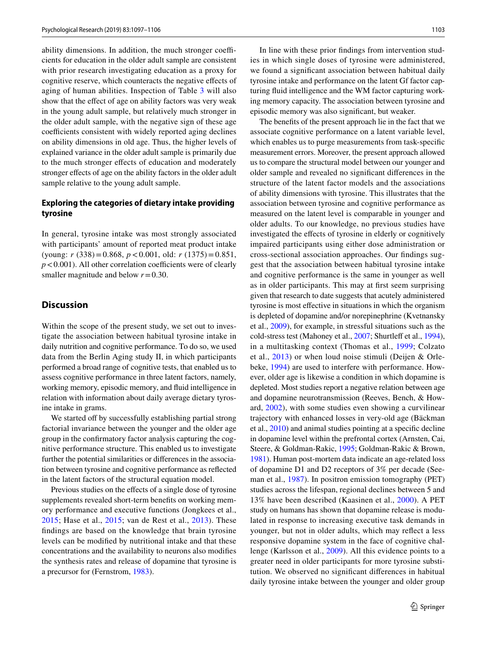ability dimensions. In addition, the much stronger coefficients for education in the older adult sample are consistent with prior research investigating education as a proxy for cognitive reserve, which counteracts the negative effects of aging of human abilities. Inspection of Table [3](#page-5-0) will also show that the effect of age on ability factors was very weak in the young adult sample, but relatively much stronger in the older adult sample, with the negative sign of these age coefficients consistent with widely reported aging declines on ability dimensions in old age. Thus, the higher levels of explained variance in the older adult sample is primarily due to the much stronger effects of education and moderately stronger effects of age on the ability factors in the older adult sample relative to the young adult sample.

# **Exploring the categories of dietary intake providing tyrosine**

In general, tyrosine intake was most strongly associated with participants' amount of reported meat product intake (young: *r* (338)=0.868, *p*<0.001, old: *r* (1375)=0.851,  $p < 0.001$ ). All other correlation coefficients were of clearly smaller magnitude and below  $r = 0.30$ .

## **Discussion**

Within the scope of the present study, we set out to investigate the association between habitual tyrosine intake in daily nutrition and cognitive performance. To do so, we used data from the Berlin Aging study II, in which participants performed a broad range of cognitive tests, that enabled us to assess cognitive performance in three latent factors, namely, working memory, episodic memory, and fluid intelligence in relation with information about daily average dietary tyrosine intake in grams.

We started off by successfully establishing partial strong factorial invariance between the younger and the older age group in the confirmatory factor analysis capturing the cognitive performance structure. This enabled us to investigate further the potential similarities or differences in the association between tyrosine and cognitive performance as reflected in the latent factors of the structural equation model.

Previous studies on the effects of a single dose of tyrosine supplements revealed short-term benefits on working memory performance and executive functions (Jongkees et al., [2015;](#page-8-2) Hase et al., [2015](#page-8-3); van de Rest et al., [2013](#page-8-4)). These findings are based on the knowledge that brain tyrosine levels can be modified by nutritional intake and that these concentrations and the availability to neurons also modifies the synthesis rates and release of dopamine that tyrosine is a precursor for (Fernstrom, [1983\)](#page-8-26).

In line with these prior findings from intervention studies in which single doses of tyrosine were administered, we found a significant association between habitual daily tyrosine intake and performance on the latent Gf factor capturing fluid intelligence and the WM factor capturing working memory capacity. The association between tyrosine and episodic memory was also significant, but weaker.

The benefits of the present approach lie in the fact that we associate cognitive performance on a latent variable level, which enables us to purge measurements from task-specific measurement errors. Moreover, the present approach allowed us to compare the structural model between our younger and older sample and revealed no significant differences in the structure of the latent factor models and the associations of ability dimensions with tyrosine. This illustrates that the association between tyrosine and cognitive performance as measured on the latent level is comparable in younger and older adults. To our knowledge, no previous studies have investigated the effects of tyrosine in elderly or cognitively impaired participants using either dose administration or cross-sectional association approaches. Our findings suggest that the association between habitual tyrosine intake and cognitive performance is the same in younger as well as in older participants. This may at first seem surprising given that research to date suggests that acutely administered tyrosine is most effective in situations in which the organism is depleted of dopamine and/or norepinephrine (Kvetnansky et al., [2009\)](#page-8-16), for example, in stressful situations such as the cold-stress test (Mahoney et al., [2007;](#page-8-9) Shurtleff et al., [1994](#page-8-27)), in a multitasking context (Thomas et al., [1999](#page-8-12); Colzato et al., [2013\)](#page-8-5) or when loud noise stimuli (Deijen & Orlebeke, [1994](#page-8-6)) are used to interfere with performance. However, older age is likewise a condition in which dopamine is depleted. Most studies report a negative relation between age and dopamine neurotransmission (Reeves, Bench, & Howard, [2002](#page-8-28)), with some studies even showing a curvilinear trajectory with enhanced losses in very-old age (Bäckman et al., [2010\)](#page-7-3) and animal studies pointing at a specific decline in dopamine level within the prefrontal cortex (Arnsten, Cai, Steere, & Goldman-Rakic, [1995](#page-7-6); Goldman-Rakic & Brown, [1981](#page-8-29)). Human post-mortem data indicate an age-related loss of dopamine D1 and D2 receptors of 3% per decade (Seeman et al., [1987](#page-8-30)). In positron emission tomography (PET) studies across the lifespan, regional declines between 5 and 13% have been described (Kaasinen et al., [2000\)](#page-8-31). A PET study on humans has shown that dopamine release is modulated in response to increasing executive task demands in younger, but not in older adults, which may reflect a less responsive dopamine system in the face of cognitive challenge (Karlsson et al., [2009\)](#page-8-32). All this evidence points to a greater need in older participants for more tyrosine substitution. We observed no significant differences in habitual daily tyrosine intake between the younger and older group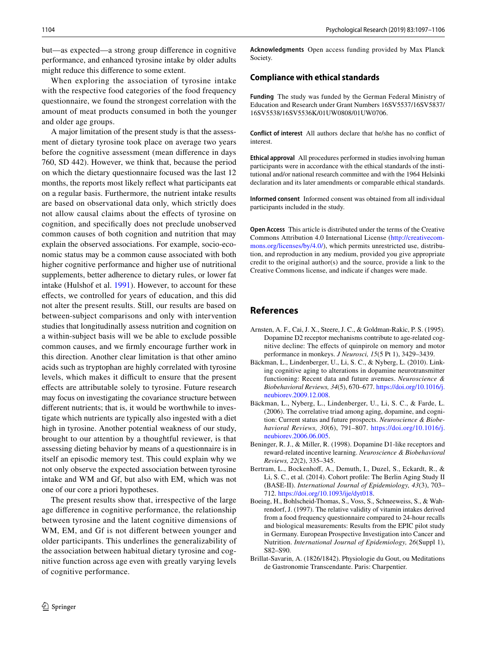but—as expected—a strong group difference in cognitive performance, and enhanced tyrosine intake by older adults might reduce this difference to some extent.

When exploring the association of tyrosine intake with the respective food categories of the food frequency questionnaire, we found the strongest correlation with the amount of meat products consumed in both the younger and older age groups.

A major limitation of the present study is that the assessment of dietary tyrosine took place on average two years before the cognitive assessment (mean difference in days 760, SD 442). However, we think that, because the period on which the dietary questionnaire focused was the last 12 months, the reports most likely reflect what participants eat on a regular basis. Furthermore, the nutrient intake results are based on observational data only, which strictly does not allow causal claims about the effects of tyrosine on cognition, and specifically does not preclude unobserved common causes of both cognition and nutrition that may explain the observed associations. For example, socio-economic status may be a common cause associated with both higher cognitive performance and higher use of nutritional supplements, better adherence to dietary rules, or lower fat intake (Hulshof et al. [1991\)](#page-8-33). However, to account for these effects, we controlled for years of education, and this did not alter the present results. Still, our results are based on between-subject comparisons and only with intervention studies that longitudinally assess nutrition and cognition on a within-subject basis will we be able to exclude possible common causes, and we firmly encourage further work in this direction. Another clear limitation is that other amino acids such as tryptophan are highly correlated with tyrosine levels, which makes it difficult to ensure that the present effects are attributable solely to tyrosine. Future research may focus on investigating the covariance structure between different nutrients; that is, it would be worthwhile to investigate which nutrients are typically also ingested with a diet high in tyrosine. Another potential weakness of our study, brought to our attention by a thoughtful reviewer, is that assessing dieting behavior by means of a questionnaire is in itself an episodic memory test. This could explain why we not only observe the expected association between tyrosine intake and WM and Gf, but also with EM, which was not one of our core a priori hypotheses.

The present results show that, irrespective of the large age difference in cognitive performance, the relationship between tyrosine and the latent cognitive dimensions of WM, EM, and Gf is not different between younger and older participants. This underlines the generalizability of the association between habitual dietary tyrosine and cognitive function across age even with greatly varying levels of cognitive performance.

**Acknowledgments** Open access funding provided by Max Planck Society.

#### **Compliance with ethical standards**

**Funding** The study was funded by the German Federal Ministry of Education and Research under Grant Numbers 16SV5537/16SV5837/ 16SV5538/16SV5536K/01UW0808/01UW0706.

**Conflict of interest** All authors declare that he/she has no conflict of interest.

**Ethical approval** All procedures performed in studies involving human participants were in accordance with the ethical standards of the institutional and/or national research committee and with the 1964 Helsinki declaration and its later amendments or comparable ethical standards.

**Informed consent** Informed consent was obtained from all individual participants included in the study.

**Open Access** This article is distributed under the terms of the Creative Commons Attribution 4.0 International License [\(http://creativecom](http://creativecommons.org/licenses/by/4.0/)[mons.org/licenses/by/4.0/](http://creativecommons.org/licenses/by/4.0/)), which permits unrestricted use, distribution, and reproduction in any medium, provided you give appropriate credit to the original author(s) and the source, provide a link to the Creative Commons license, and indicate if changes were made.

## **References**

- <span id="page-7-6"></span>Arnsten, A. F., Cai, J. X., Steere, J. C., & Goldman-Rakic, P. S. (1995). Dopamine D2 receptor mechanisms contribute to age-related cognitive decline: The effects of quinpirole on memory and motor performance in monkeys. *J Neurosci, 15*(5 Pt 1), 3429–3439.
- <span id="page-7-3"></span>Bäckman, L., Lindenberger, U., Li, S. C., & Nyberg, L. (2010). Linking cognitive aging to alterations in dopamine neurotransmitter functioning: Recent data and future avenues. *Neuroscience & Biobehavioral Reviews, 34*(5), 670–677. [https://doi.org/10.1016/j.](https://doi.org/10.1016/j.neubiorev.2009.12.008) [neubiorev.2009.12.008.](https://doi.org/10.1016/j.neubiorev.2009.12.008)
- <span id="page-7-1"></span>Bäckman, L., Nyberg, L., Lindenberger, U., Li, S. C., & Farde, L. (2006). The correlative triad among aging, dopamine, and cognition: Current status and future prospects. *Neuroscience & Biobehavioral Reviews, 30*(6), 791–807. [https://doi.org/10.1016/j.](https://doi.org/10.1016/j.neubiorev.2006.06.005) [neubiorev.2006.06.005.](https://doi.org/10.1016/j.neubiorev.2006.06.005)
- <span id="page-7-2"></span>Beninger, R. J., & Miller, R. (1998). Dopamine D1-like receptors and reward-related incentive learning. *Neuroscience & Biobehavioral Reviews, 22*(2), 335–345.
- <span id="page-7-4"></span>Bertram, L., Bockenhoff, A., Demuth, I., Duzel, S., Eckardt, R., & Li, S. C., et al. (2014). Cohort profile: The Berlin Aging Study II (BASE-II). *International Journal of Epidemiology, 43*(3), 703– 712.<https://doi.org/10.1093/ije/dyt018>.
- <span id="page-7-5"></span>Boeing, H., Bohlscheid-Thomas, S., Voss, S., Schneeweiss, S., & Wahrendorf, J. (1997). The relative validity of vitamin intakes derived from a food frequency questionnaire compared to 24-hour recalls and biological measurements: Results from the EPIC pilot study in Germany. European Prospective Investigation into Cancer and Nutrition. *International Journal of Epidemiology, 26*(Suppl 1), S82–S90.
- <span id="page-7-0"></span>Brillat-Savarin, A. (1826/1842). Physiologie du Gout, ou Meditations de Gastronomie Transcendante. Paris: Charpentier.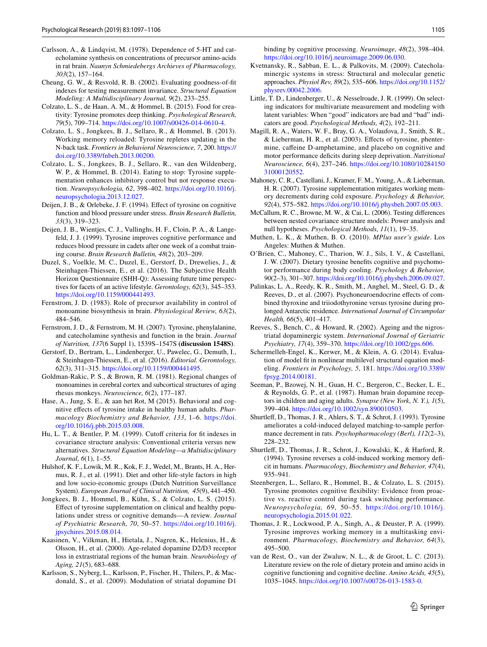- <span id="page-8-1"></span>Carlsson, A., & Lindqvist, M. (1978). Dependence of 5-HT and catecholamine synthesis on concentrations of precursor amino-acids in rat brain. *Naunyn Schmiedebergs Archieves of Pharmacology, 303*(2), 157–164.
- <span id="page-8-21"></span>Cheung, G. W., & Resvold, R. B. (2002). Evaluating goodness-of-fit indexes for testing measurement invariance. *Structural Equation Modeling: A Multidisciplinary Journal, 9*(2), 233–255.
- <span id="page-8-15"></span>Colzato, L. S., de Haan, A. M., & Hommel, B. (2015). Food for creativity: Tyrosine promotes deep thinking. *Psychological Research, 79*(5), 709–714.<https://doi.org/10.1007/s00426-014-0610-4>.
- <span id="page-8-5"></span>Colzato, L. S., Jongkees, B. J., Sellaro, R., & Hommel, B. (2013). Working memory reloaded: Tyrosine repletes updating in the N-back task. *Frontiers in Behavioral Neuroscience, 7*, 200. [https://](https://doi.org/10.3389/fnbeh.2013.00200) [doi.org/10.3389/fnbeh.2013.00200.](https://doi.org/10.3389/fnbeh.2013.00200)
- <span id="page-8-14"></span>Colzato, L. S., Jongkees, B. J., Sellaro, R., van den Wildenberg, W. P., & Hommel, B. (2014). Eating to stop: Tyrosine supplementation enhances inhibitory control but not response execution. *Neuropsychologia, 62*, 398–402. [https://doi.org/10.1016/j.](https://doi.org/10.1016/j.neuropsychologia.2013.12.027) [neuropsychologia.2013.12.027.](https://doi.org/10.1016/j.neuropsychologia.2013.12.027)
- <span id="page-8-6"></span>Deijen, J. B., & Orlebeke, J. F. (1994). Effect of tyrosine on cognitive function and blood pressure under stress. *Brain Research Bulletin, 33*(3), 319–323.
- <span id="page-8-7"></span>Deijen, J. B., Wientjes, C. J., Vullinghs, H. F., Cloin, P. A., & Langefeld, J. J. (1999). Tyrosine improves cognitive performance and reduces blood pressure in cadets after one week of a combat training course. *Brain Research Bulletin, 48*(2), 203–209.
- <span id="page-8-19"></span>Duzel, S., Voelkle, M. C., Duzel, E., Gerstorf, D., Drewelies, J., & Steinhagen-Thiessen, E., et al. (2016). The Subjective Health Horizon Questionnaire (SHH-Q): Assessing future time perspectives for facets of an active lifestyle. *Gerontology, 62*(3), 345–353. [https://doi.org/10.1159/000441493.](https://doi.org/10.1159/000441493)
- <span id="page-8-26"></span>Fernstrom, J. D. (1983). Role of precursor availability in control of monoamine biosynthesis in brain. *Physiological Review, 63*(2), 484–546.
- <span id="page-8-0"></span>Fernstrom, J. D., & Fernstrom, M. H. (2007). Tyrosine, phenylalanine, and catecholamine synthesis and function in the brain. *Journal of Nutrition, 137*(6 Suppl 1), 1539S–1547S **(discussion 1548S)**.
- <span id="page-8-18"></span>Gerstorf, D., Bertram, L., Lindenberger, U., Pawelec, G., Demuth, I., & Steinhagen-Thiessen, E., et al. (2016). *Editorial. Gerontology, 62*(3), 311–315. [https://doi.org/10.1159/000441495.](https://doi.org/10.1159/000441495)
- <span id="page-8-29"></span>Goldman-Rakic, P. S., & Brown, R. M. (1981). Regional changes of monoamines in cerebral cortex and subcortical structures of aging rhesus monkeys. *Neuroscience, 6*(2), 177–187.
- <span id="page-8-3"></span>Hase, A., Jung, S. E., & aan het Rot, M (2015). Behavioral and cognitive effects of tyrosine intake in healthy human adults. *Pharmacology Biochemistry and Behavior, 133*, 1–6. [https://doi.](https://doi.org/10.1016/j.pbb.2015.03.008) [org/10.1016/j.pbb.2015.03.008.](https://doi.org/10.1016/j.pbb.2015.03.008)
- <span id="page-8-24"></span>Hu, L. T., & Bentler, P. M. (1999). Cutoff criteria for fit indexes in covariance structure analysis: Conventional criteria versus new alternatives. *Structural Equation Modeling—a Multidisciplinary Journal, 6*(1), 1–55.
- <span id="page-8-33"></span>Hulshof, K. F., Lowik, M. R., Kok, F. J., Wedel, M., Brants, H. A., Hermus, R. J., et al. (1991). Diet and other life-style factors in high and low socio-economic groups (Dutch Nutrition Surveillance System). *European Journal of Clinical Nutrition, 45*(9), 441–450.
- <span id="page-8-2"></span>Jongkees, B. J., Hommel, B., Kühn, S., & Colzato, L. S. (2015). Effect of tyrosine supplementation on clinical and healthy populations under stress or cognitive demands—A review. *Journal of Psychiatric Research, 70*, 50–57. [https://doi.org/10.1016/j.](https://doi.org/10.1016/j.jpsychires.2015.08.014) [jpsychires.2015.08.014.](https://doi.org/10.1016/j.jpsychires.2015.08.014)
- <span id="page-8-31"></span>Kaasinen, V., Vilkman, H., Hietala, J., Nagren, K., Helenius, H., & Olsson, H., et al. (2000). Age-related dopamine D2/D3 receptor loss in extrastriatal regions of the human brain. *Neurobiology of Aging, 21*(5), 683–688.
- <span id="page-8-32"></span>Karlsson, S., Nyberg, L., Karlsson, P., Fischer, H., Thilers, P., & Macdonald, S., et al. (2009). Modulation of striatal dopamine D1

binding by cognitive processing. *Neuroimage, 48*(2), 398–404. <https://doi.org/10.1016/j.neuroimage.2009.06.030>.

- <span id="page-8-16"></span>Kvetnansky, R., Sabban, E. L., & Palkovits, M. (2009). Catecholaminergic systems in stress: Structural and molecular genetic approaches. *Physiol Rev, 89*(2), 535–606. [https://doi.org/10.1152/](https://doi.org/10.1152/physrev.00042.2006) [physrev.00042.2006](https://doi.org/10.1152/physrev.00042.2006).
- <span id="page-8-20"></span>Little, T. D., Lindenberger, U., & Nesselroade, J. R. (1999). On selecting indicators for multivariate measurement and modeling with latent variables: When "good" indicators are bad and "bad" indicators are good. *Psychological Methods, 4*(2), 192–211.
- <span id="page-8-8"></span>Magill, R. A., Waters, W. F., Bray, G. A., Volaufova, J., Smith, S. R., & Lieberman, H. R., et al. (2003). Effects of tyrosine, phentermine, caffeine D-amphetamine, and placebo on cognitive and motor performance deficits during sleep deprivation. *Nutritional Neuroscience, 6*(4), 237–246. [https://doi.org/10.1080/10284150](https://doi.org/10.1080/1028415031000120552) [31000120552](https://doi.org/10.1080/1028415031000120552).
- <span id="page-8-9"></span>Mahoney, C. R., Castellani, J., Kramer, F. M., Young, A., & Lieberman, H. R. (2007). Tyrosine supplementation mitigates working memory decrements during cold exposure. *Psychology & Behavior, 92*(4), 575–582. [https://doi.org/10.1016/j.physbeh.2007.05.003.](https://doi.org/10.1016/j.physbeh.2007.05.003)
- <span id="page-8-22"></span>McCallum, R. C., Browne, M. W., & Cai, L. (2006). Testing differences between nested covariance structure models: Power analysis and null hypotheses. *Psychological Methods, 11*(1), 19–35.
- <span id="page-8-25"></span>Muthen, L. K., & Muthen, B. O. (2010). *MPlus user's guide*. Los Angeles: Muthen & Muthen.
- <span id="page-8-10"></span>O'Brien, C., Mahoney, C., Tharion, W. J., Sils, I. V., & Castellani, J. W. (2007). Dietary tyrosine benefits cognitive and psychomotor performance during body cooling. *Psychology & Behavior, 90*(2–3), 301–307. [https://doi.org/10.1016/j.physbeh.2006.09.027.](https://doi.org/10.1016/j.physbeh.2006.09.027)
- <span id="page-8-17"></span>Palinkas, L. A., Reedy, K. R., Smith, M., Anghel, M., Steel, G. D., & Reeves, D., et al. (2007). Psychoneuroendocrine effects of combined thyroxine and triiodothyronine versus tyrosine during prolonged Antarctic residence. *International Journal of Circumpolar Health, 66*(5), 401–417.
- <span id="page-8-28"></span>Reeves, S., Bench, C., & Howard, R. (2002). Ageing and the nigrostriatal dopaminergic system. *International Journal of Geriatric Psychiatry, 17*(4), 359–370.<https://doi.org/10.1002/gps.606>.
- <span id="page-8-23"></span>Schermelleh-Engel, K., Kerwer, M., & Klein, A. G. (2014). Evaluation of model fit in nonlinear multilevel structural equation modeling. *Frontiers in Psychology, 5*, 181. [https://doi.org/10.3389/](https://doi.org/10.3389/fpsyg.2014.00181) [fpsyg.2014.00181](https://doi.org/10.3389/fpsyg.2014.00181).
- <span id="page-8-30"></span>Seeman, P., Bzowej, N. H., Guan, H. C., Bergeron, C., Becker, L. E., & Reynolds, G. P., et al. (1987). Human brain dopamine receptors in children and aging adults. *Synapse (New York, N. Y.), 1*(5), 399–404.<https://doi.org/10.1002/syn.890010503>.
- <span id="page-8-11"></span>Shurtleff, D., Thomas, J. R., Ahlers, S. T., & Schrot, J. (1993). Tyrosine ameliorates a cold-induced delayed matching-to-sample performance decrement in rats. *Psychopharmacology (Berl), 112*(2–3), 228–232.
- <span id="page-8-27"></span>Shurtleff, D., Thomas, J. R., Schrot, J., Kowalski, K., & Harford, R. (1994). Tyrosine reverses a cold-induced working memory deficit in humans. *Pharmacology, Biochemistry and Behavior, 47*(4), 935–941.
- <span id="page-8-13"></span>Steenbergen, L., Sellaro, R., Hommel, B., & Colzato, L. S. (2015). Tyrosine promotes cognitive flexibility: Evidence from proactive vs. reactive control during task switching performance. *Neuropsychologia, 69*, 50–55. [https://doi.org/10.1016/j.](https://doi.org/10.1016/j.neuropsychologia.2015.01.022) [neuropsychologia.2015.01.022](https://doi.org/10.1016/j.neuropsychologia.2015.01.022).
- <span id="page-8-12"></span>Thomas, J. R., Lockwood, P. A., Singh, A., & Deuster, P. A. (1999). Tyrosine improves working memory in a multitasking environment. *Pharmacology, Biochemistry and Behavior, 64*(3), 495–500.
- <span id="page-8-4"></span>van de Rest, O., van der Zwaluw, N. L., & de Groot, L. C. (2013). Literature review on the role of dietary protein and amino acids in cognitive functioning and cognitive decline. *Amino Acids, 45*(5), 1035–1045. [https://doi.org/10.1007/s00726-013-1583-0.](https://doi.org/10.1007/s00726-013-1583-0)